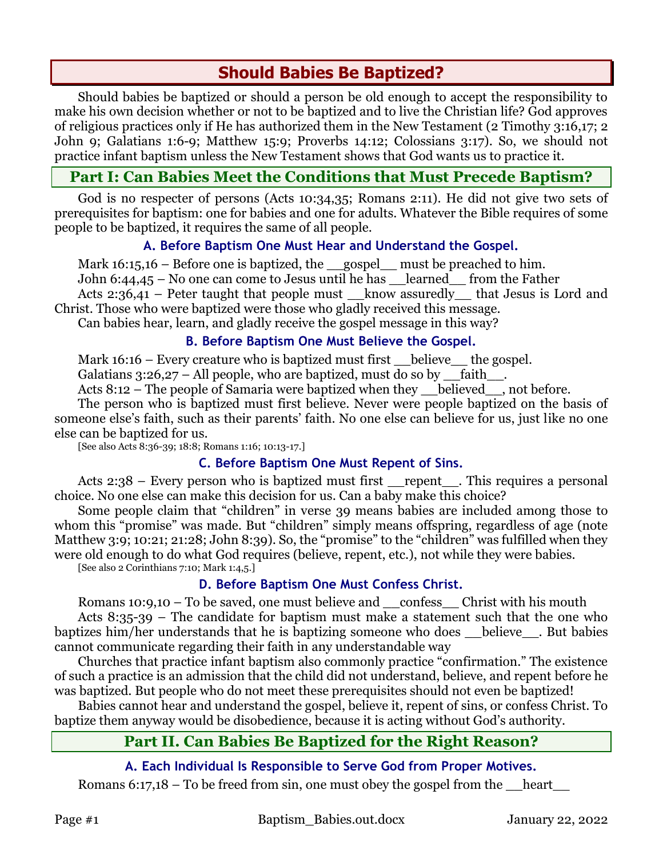# **Should Babies Be Baptized?**

Should babies be baptized or should a person be old enough to accept the responsibility to make his own decision whether or not to be baptized and to live the Christian life? God approves of religious practices only if He has authorized them in the New Testament (2 Timothy 3:16,17; 2 John 9; Galatians 1:6-9; Matthew 15:9; Proverbs 14:12; Colossians 3:17). So, we should not practice infant baptism unless the New Testament shows that God wants us to practice it.

# **Part I: Can Babies Meet the Conditions that Must Precede Baptism?**

God is no respecter of persons (Acts 10:34,35; Romans 2:11). He did not give two sets of prerequisites for baptism: one for babies and one for adults. Whatever the Bible requires of some people to be baptized, it requires the same of all people.

### **A. Before Baptism One Must Hear and Understand the Gospel.**

Mark  $16:15,16$  – Before one is baptized, the gospel must be preached to him. John 6:44,45 – No one can come to Jesus until he has \_\_learned\_\_ from the Father Acts 2:36,41 – Peter taught that people must  $\;$  know assuredly that Jesus is Lord and

Christ. Those who were baptized were those who gladly received this message.

Can babies hear, learn, and gladly receive the gospel message in this way?

### **B. Before Baptism One Must Believe the Gospel.**

Mark  $16:16$  – Every creature who is baptized must first believe the gospel.

Galatians  $3:26,27$  – All people, who are baptized, must do so by faith

Acts 8:12 – The people of Samaria were baptized when they believed, not before.

The person who is baptized must first believe. Never were people baptized on the basis of someone else's faith, such as their parents' faith. No one else can believe for us, just like no one else can be baptized for us.

[See also Acts 8:36-39; 18:8; Romans 1:16; 10:13-17.]

# **C. Before Baptism One Must Repent of Sins.**

Acts 2:38 – Every person who is baptized must first repent . This requires a personal choice. No one else can make this decision for us. Can a baby make this choice?

Some people claim that "children" in verse 39 means babies are included among those to whom this "promise" was made. But "children" simply means offspring, regardless of age (note Matthew 3:9; 10:21; 21:28; John 8:39). So, the "promise" to the "children" was fulfilled when they were old enough to do what God requires (believe, repent, etc.), not while they were babies.

[See also 2 Corinthians 7:10; Mark 1:4,5.]

# **D. Before Baptism One Must Confess Christ.**

Romans 10:9,10 – To be saved, one must believe and  $\_\$  confess  $\_\$  Christ with his mouth Acts 8:35-39 – The candidate for baptism must make a statement such that the one who baptizes him/her understands that he is baptizing someone who does believe. But babies cannot communicate regarding their faith in any understandable way

Churches that practice infant baptism also commonly practice "confirmation." The existence of such a practice is an admission that the child did not understand, believe, and repent before he was baptized. But people who do not meet these prerequisites should not even be baptized!

Babies cannot hear and understand the gospel, believe it, repent of sins, or confess Christ. To baptize them anyway would be disobedience, because it is acting without God's authority.

# **Part II. Can Babies Be Baptized for the Right Reason?**

# **A. Each Individual Is Responsible to Serve God from Proper Motives.**

Romans 6:17,18 – To be freed from sin, one must obey the gospel from the  $\_\$ heart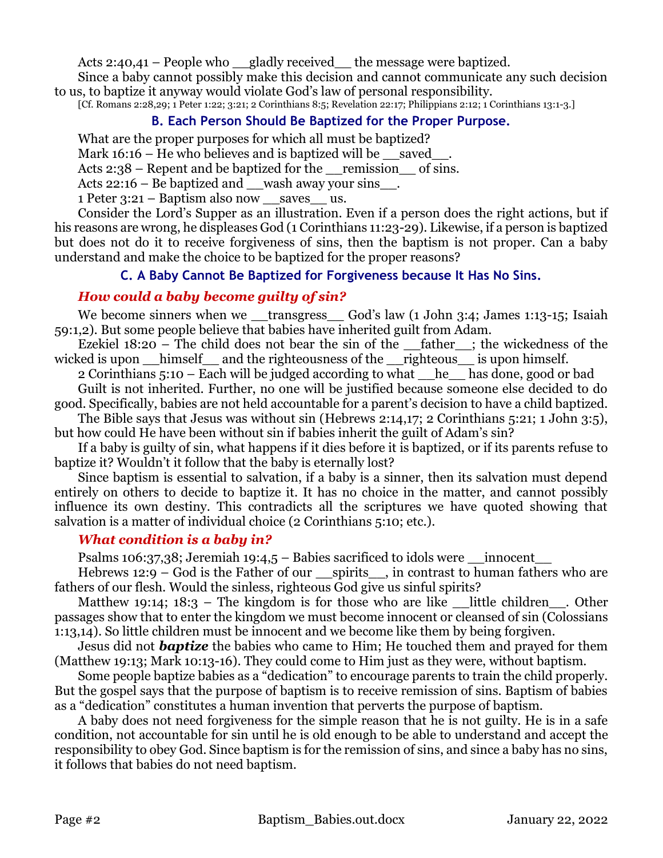Acts 2:40,41 – People who \_\_gladly received\_\_ the message were baptized.

Since a baby cannot possibly make this decision and cannot communicate any such decision to us, to baptize it anyway would violate God's law of personal responsibility.

[Cf. Romans 2:28,29; 1 Peter 1:22; 3:21; 2 Corinthians 8:5; Revelation 22:17; Philippians 2:12; 1 Corinthians 13:1-3.]

### **B. Each Person Should Be Baptized for the Proper Purpose.**

What are the proper purposes for which all must be baptized?

Mark  $16:16$  – He who believes and is baptized will be \_\_saved\_\_\_.

Acts  $2:38$  – Repent and be baptized for the remission of sins.

Acts 22:16 – Be baptized and \_\_wash away your sins\_\_.

1 Peter  $3:21$  – Baptism also now saves us.

Consider the Lord's Supper as an illustration. Even if a person does the right actions, but if his reasons are wrong, he displeases God (1 Corinthians 11:23-29). Likewise, if a person is baptized but does not do it to receive forgiveness of sins, then the baptism is not proper. Can a baby understand and make the choice to be baptized for the proper reasons?

#### **C. A Baby Cannot Be Baptized for Forgiveness because It Has No Sins.**

### *How could a baby become guilty of sin?*

We become sinners when we <u>transgress</u> God's law (1 John 3:4; James 1:13-15; Isaiah 59:1,2). But some people believe that babies have inherited guilt from Adam.

Ezekiel  $18:20$  – The child does not bear the sin of the father ; the wickedness of the wicked is upon \_\_himself\_\_ and the righteousness of the \_\_righteous\_\_ is upon himself.

2 Corinthians 5:10 – Each will be judged according to what \_\_he\_\_ has done, good or bad Guilt is not inherited. Further, no one will be justified because someone else decided to do

good. Specifically, babies are not held accountable for a parent's decision to have a child baptized.

The Bible says that Jesus was without sin (Hebrews 2:14,17; 2 Corinthians 5:21; 1 John 3:5), but how could He have been without sin if babies inherit the guilt of Adam's sin?

If a baby is guilty of sin, what happens if it dies before it is baptized, or if its parents refuse to baptize it? Wouldn't it follow that the baby is eternally lost?

Since baptism is essential to salvation, if a baby is a sinner, then its salvation must depend entirely on others to decide to baptize it. It has no choice in the matter, and cannot possibly influence its own destiny. This contradicts all the scriptures we have quoted showing that salvation is a matter of individual choice (2 Corinthians 5:10; etc.).

#### *What condition is a baby in?*

Psalms 106:37,38; Jeremiah 19:4,5 – Babies sacrificed to idols were \_\_innocent

Hebrews 12:9 – God is the Father of our spirits in contrast to human fathers who are fathers of our flesh. Would the sinless, righteous God give us sinful spirits?

Matthew 19:14; 18:3 – The kingdom is for those who are like Little children . Other passages show that to enter the kingdom we must become innocent or cleansed of sin (Colossians 1:13,14). So little children must be innocent and we become like them by being forgiven.

Jesus did not *baptize* the babies who came to Him; He touched them and prayed for them (Matthew 19:13; Mark 10:13-16). They could come to Him just as they were, without baptism.

Some people baptize babies as a "dedication" to encourage parents to train the child properly. But the gospel says that the purpose of baptism is to receive remission of sins. Baptism of babies as a "dedication" constitutes a human invention that perverts the purpose of baptism.

A baby does not need forgiveness for the simple reason that he is not guilty. He is in a safe condition, not accountable for sin until he is old enough to be able to understand and accept the responsibility to obey God. Since baptism is for the remission of sins, and since a baby has no sins, it follows that babies do not need baptism.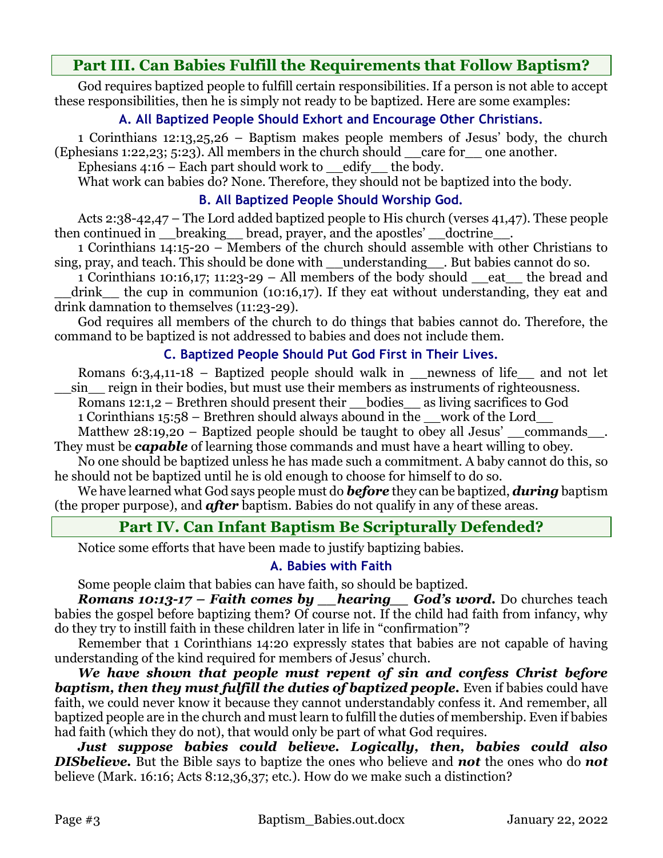# **Part III. Can Babies Fulfill the Requirements that Follow Baptism?**

God requires baptized people to fulfill certain responsibilities. If a person is not able to accept these responsibilities, then he is simply not ready to be baptized. Here are some examples:

# **A. All Baptized People Should Exhort and Encourage Other Christians.**

1 Corinthians 12:13,25,26 – Baptism makes people members of Jesus' body, the church (Ephesians 1:22,23; 5:23). All members in the church should \_\_care for\_\_ one another.

Ephesians  $4:16$  – Each part should work to edify the body.

What work can babies do? None. Therefore, they should not be baptized into the body.

### **B. All Baptized People Should Worship God.**

Acts 2:38-42,47 – The Lord added baptized people to His church (verses 41,47). These people then continued in breaking bread, prayer, and the apostles' doctrine.

1 Corinthians 14:15-20 – Members of the church should assemble with other Christians to sing, pray, and teach. This should be done with \_\_understanding\_\_. But babies cannot do so.

1 Corinthians 10:16,17; 11:23-29 – All members of the body should \_\_eat\_\_ the bread and drink the cup in communion (10:16,17). If they eat without understanding, they eat and drink damnation to themselves (11:23-29).

God requires all members of the church to do things that babies cannot do. Therefore, the command to be baptized is not addressed to babies and does not include them.

# **C. Baptized People Should Put God First in Their Lives.**

Romans 6:3,4,11-18 – Baptized people should walk in \_\_newness of life\_\_ and not let \_\_sin\_\_ reign in their bodies, but must use their members as instruments of righteousness.

Romans 12:1,2 – Brethren should present their bodies as living sacrifices to God

1 Corinthians 15:58 – Brethren should always abound in the \_\_work of the Lord\_\_

Matthew 28:19,20 – Baptized people should be taught to obey all Jesus' commands. They must be *capable* of learning those commands and must have a heart willing to obey.

No one should be baptized unless he has made such a commitment. A baby cannot do this, so he should not be baptized until he is old enough to choose for himself to do so.

We have learned what God says people must do *before* they can be baptized, *during* baptism (the proper purpose), and *after* baptism. Babies do not qualify in any of these areas.

# **Part IV. Can Infant Baptism Be Scripturally Defended?**

Notice some efforts that have been made to justify baptizing babies.

# **A. Babies with Faith**

Some people claim that babies can have faith, so should be baptized.

*Romans 10:13-17 – Faith comes by \_\_hearing\_\_ God's word.* Do churches teach babies the gospel before baptizing them? Of course not. If the child had faith from infancy, why do they try to instill faith in these children later in life in "confirmation"?

Remember that 1 Corinthians 14:20 expressly states that babies are not capable of having understanding of the kind required for members of Jesus' church.

*We have shown that people must repent of sin and confess Christ before baptism, then they must fulfill the duties of baptized people.* Even if babies could have faith, we could never know it because they cannot understandably confess it. And remember, all baptized people are in the church and must learn to fulfill the duties of membership. Even if babies had faith (which they do not), that would only be part of what God requires.

*Just suppose babies could believe. Logically, then, babies could also DISbelieve.* But the Bible says to baptize the ones who believe and *not* the ones who do *not*  believe (Mark. 16:16; Acts 8:12,36,37; etc.). How do we make such a distinction?